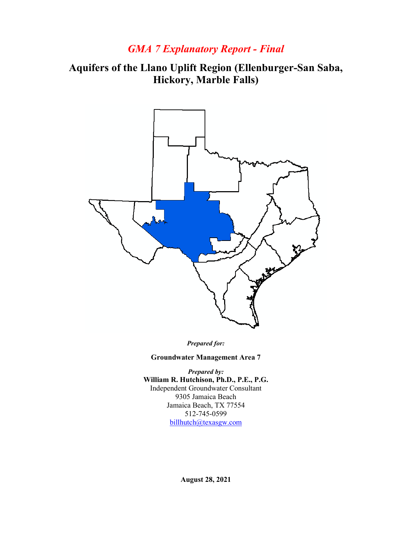## *GMA 7 Explanatory Report - Final*

# **Aquifers of the Llano Uplift Region (Ellenburger-San Saba, Hickory, Marble Falls)**



*Prepared for:*

**Groundwater Management Area 7**

*Prepared by:* **William R. Hutchison, Ph.D., P.E., P.G.** Independent Groundwater Consultant 9305 Jamaica Beach Jamaica Beach, TX 77554 512-745-0599 [billhutch@texasgw.com](mailto:billhutch@texasgw.com)

**August 28, 2021**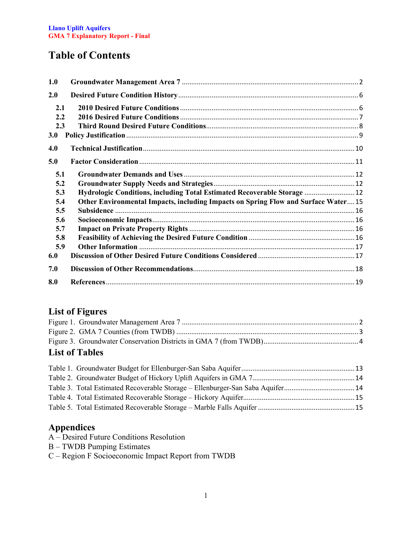# **Table of Contents**

| 1.0 |                                                                                    |  |
|-----|------------------------------------------------------------------------------------|--|
| 2.0 |                                                                                    |  |
| 2.1 |                                                                                    |  |
| 2.2 |                                                                                    |  |
| 2.3 |                                                                                    |  |
| 3.0 |                                                                                    |  |
| 4.0 |                                                                                    |  |
| 5.0 |                                                                                    |  |
| 5.1 |                                                                                    |  |
| 5.2 |                                                                                    |  |
| 5.3 | Hydrologic Conditions, including Total Estimated Recoverable Storage  12           |  |
| 5.4 | Other Environmental Impacts, including Impacts on Spring Flow and Surface Water 15 |  |
| 5.5 |                                                                                    |  |
| 5.6 |                                                                                    |  |
| 5.7 |                                                                                    |  |
| 5.8 |                                                                                    |  |
| 5.9 |                                                                                    |  |
| 6.0 |                                                                                    |  |
| 7.0 |                                                                                    |  |
| 8.0 |                                                                                    |  |

## **List of Figures**

| <b>List of Tables</b> |  |
|-----------------------|--|
|                       |  |
|                       |  |
|                       |  |
|                       |  |

| Table 3. Total Estimated Recoverable Storage – Ellenburger-San Saba Aquifer14 |  |
|-------------------------------------------------------------------------------|--|
|                                                                               |  |
|                                                                               |  |

### **Appendices**

- A Desired Future Conditions Resolution
- B TWDB Pumping Estimates
- C Region F Socioeconomic Impact Report from TWDB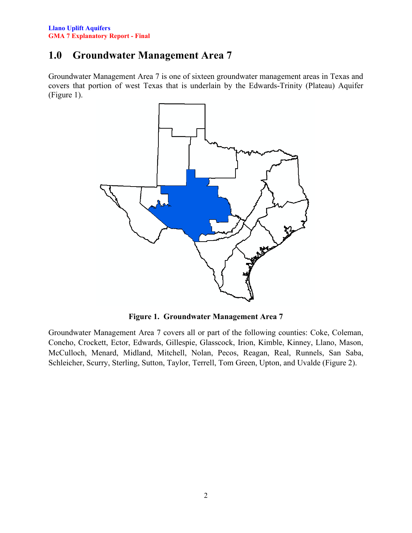## <span id="page-2-0"></span>**1.0 Groundwater Management Area 7**

Groundwater Management Area 7 is one of sixteen groundwater management areas in Texas and covers that portion of west Texas that is underlain by the Edwards-Trinity (Plateau) Aquifer (Figure 1).



**Figure 1. Groundwater Management Area 7**

<span id="page-2-1"></span>Groundwater Management Area 7 covers all or part of the following counties: Coke, Coleman, Concho, Crockett, Ector, Edwards, Gillespie, Glasscock, Irion, Kimble, Kinney, Llano, Mason, McCulloch, Menard, Midland, Mitchell, Nolan, Pecos, Reagan, Real, Runnels, San Saba, Schleicher, Scurry, Sterling, Sutton, Taylor, Terrell, Tom Green, Upton, and Uvalde (Figure 2).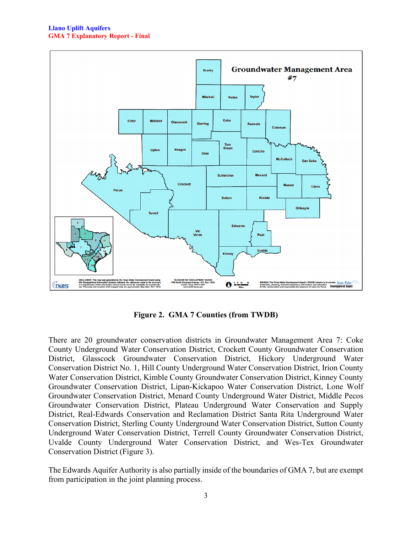

**Figure 2. GMA 7 Counties (from TWDB)**

<span id="page-3-0"></span>There are 20 groundwater conservation districts in Groundwater Management Area 7: Coke County Underground Water Conservation District, Crockett County Groundwater Conservation District, Glasscock Groundwater Conservation District, Hickory Underground Water Conservation District No. 1, Hill County Underground Water Conservation District, Irion County Water Conservation District, Kimble County Groundwater Conservation District, Kinney County Groundwater Conservation District, Lipan-Kickapoo Water Conservation District, Lone Wolf Groundwater Conservation District, Menard County Underground Water District, Middle Pecos Groundwater Conservation District, Plateau Underground Water Conservation and Supply District, Real-Edwards Conservation and Reclamation District Santa Rita Underground Water Conservation District, Sterling County Underground Water Conservation District, Sutton County Underground Water Conservation District, Terrell County Groundwater Conservation District, Uvalde County Underground Water Conservation District, and Wes-Tex Groundwater Conservation District (Figure 3).

The Edwards Aquifer Authority is also partially inside of the boundaries of GMA 7, but are exempt from participation in the joint planning process.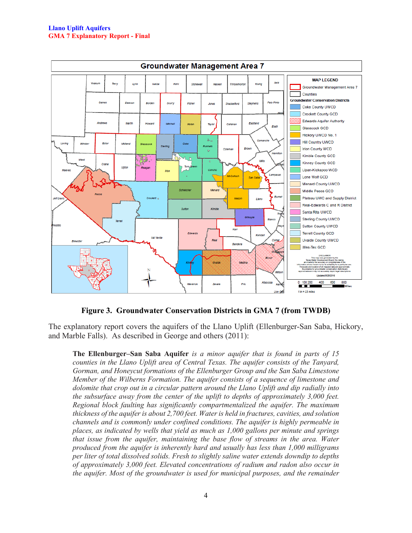

#### **Figure 3. Groundwater Conservation Districts in GMA 7 (from TWDB)**

<span id="page-4-0"></span>The explanatory report covers the aquifers of the Llano Uplift (Ellenburger-San Saba, Hickory, and Marble Falls). As described in George and others (2011):

**The Ellenburger–San Saba Aquifer** *is a minor aquifer that is found in parts of 15 counties in the Llano Uplift area of Central Texas. The aquifer consists of the Tanyard, Gorman, and Honeycut formations of the Ellenburger Group and the San Saba Limestone Member of the Wilberns Formation. The aquifer consists of a sequence of limestone and dolomite that crop out in a circular pattern around the Llano Uplift and dip radially into the subsurface away from the center of the uplift to depths of approximately 3,000 feet. Regional block faulting has significantly compartmentalized the aquifer. The maximum thickness of the aquifer is about 2,700 feet. Water is held in fractures, cavities, and solution channels and is commonly under confined conditions. The aquifer is highly permeable in places, as indicated by wells that yield as much as 1,000 gallons per minute and springs that issue from the aquifer, maintaining the base flow of streams in the area. Water produced from the aquifer is inherently hard and usually has less than 1,000 milligrams per liter of total dissolved solids. Fresh to slightly saline water extends downdip to depths of approximately 3,000 feet. Elevated concentrations of radium and radon also occur in the aquifer. Most of the groundwater is used for municipal purposes, and the remainder*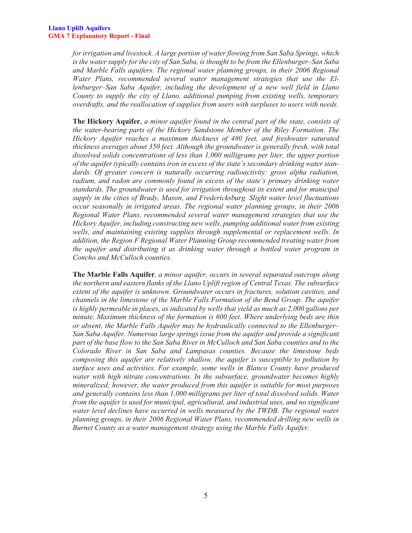*for irrigation and livestock. A large portion of water flowing from San Saba Springs, which is the water supply for the city of San Saba, is thought to be from the Ellenburger–San Saba and Marble Falls aquifers. The regional water planning groups, in their 2006 Regional Water Plans, recommended several water management strategies that use the Ellenburger–San Saba Aquifer, including the development of a new well field in Llano County to supply the city of Llano, additional pumping from existing wells, temporary overdrafts, and the reallocation of supplies from users with surpluses to users with needs.*

**The Hickory Aquifer**, *a minor aquifer found in the central part of the state, consists of the water-bearing parts of the Hickory Sandstone Member of the Riley Formation. The Hickory Aquifer reaches a maximum thickness of 480 feet, and freshwater saturated thickness averages about 350 feet. Although the groundwater is generally fresh, with total dissolved solids concentrations of less than 1,000 milligrams per liter, the upper portion of the aquifer typically contains iron in excess of the state's secondary drinking water standards. Of greater concern is naturally occurring radioactivity: gross alpha radiation,*  radium, and radon are commonly found in excess of the state's primary drinking water *standards. The groundwater is used for irrigation throughout its extent and for municipal supply in the cities of Brady, Mason, and Fredericksburg. Slight water level fluctuations occur seasonally in irrigated areas. The regional water planning groups, in their 2006 Regional Water Plans, recommended several water management strategies that use the Hickory Aquifer, including constructing new wells, pumping additional water from existing wells, and maintaining existing supplies through supplemental or replacement wells. In addition, the Region F Regional Water Planning Group recommended treating water from the aquifer and distributing it as drinking water through a bottled water program in Concho and McCulloch counties.*

**The Marble Falls Aquifer***, a minor aquifer, occurs in several separated outcrops along the northern and eastern flanks of the Llano Uplift region of Central Texas. The subsurface extent of the aquifer is unknown. Groundwater occurs in fractures, solution cavities, and channels in the limestone of the Marble Falls Formation of the Bend Group. The aquifer*  is highly permeable in places, as indicated by wells that yield as much as 2,000 gallons per *minute. Maximum thickness of the formation is 600 feet. Where underlying beds are thin or absent, the Marble Falls Aquifer may be hydraulically connected to the Ellenburger– San Saba Aquifer. Numerous large springs issue from the aquifer and provide a significant part of the base flow to the San Saba River in McCulloch and San Saba counties and to the Colorado River in San Saba and Lampasas counties. Because the limestone beds composing this aquifer are relatively shallow, the aquifer is susceptible to pollution by surface uses and activities. For example, some wells in Blanco County have produced water with high nitrate concentrations. In the subsurface, groundwater becomes highly mineralized; however, the water produced from this aquifer is suitable for most purposes and generally contains less than 1,000 milligrams per liter of total dissolved solids. Water from the aquifer is used for municipal, agricultural, and industrial uses, and no significant water level declines have occurred in wells measured by the TWDB. The regional water planning groups, in their 2006 Regional Water Plans, recommended drilling new wells in Burnet County as a water management strategy using the Marble Falls Aquifer.*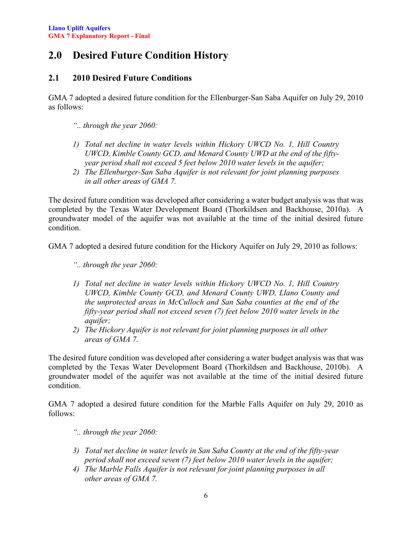# <span id="page-6-0"></span>**2.0 Desired Future Condition History**

### <span id="page-6-1"></span>**2.1 2010 Desired Future Conditions**

GMA 7 adopted a desired future condition for the Ellenburger-San Saba Aquifer on July 29, 2010 as follows:

- *".. through the year 2060:*
- *1) Total net decline in water levels within Hickory UWCD No. 1, Hill Country UWCD, Kimble County GCD, and Menard County UWD at the end of the fiftyyear period shall not exceed 5 feet below 2010 water levels in the aquifer;*
- *2) The Ellenburger-San Saba Aquifer is not relevant for joint planning purposes in all other areas of GMA 7.*

The desired future condition was developed after considering a water budget analysis was that was completed by the Texas Water Development Board (Thorkildsen and Backhouse, 2010a). A groundwater model of the aquifer was not available at the time of the initial desired future condition.

GMA 7 adopted a desired future condition for the Hickory Aquifer on July 29, 2010 as follows:

- *".. through the year 2060:*
- *1) Total net decline in water levels within Hickory UWCD No. 1, Hill Country UWCD, Kimble County GCD, and Menard County UWD, Llano County and the unprotected areas in McCulloch and San Saba counties at the end of the fifty-year period shall not exceed seven (7) feet below 2010 water levels in the aquifer;*
- *2) The Hickory Aquifer is not relevant for joint planning purposes in all other areas of GMA 7.*

The desired future condition was developed after considering a water budget analysis was that was completed by the Texas Water Development Board (Thorkildsen and Backhouse, 2010b). A groundwater model of the aquifer was not available at the time of the initial desired future condition.

GMA 7 adopted a desired future condition for the Marble Falls Aquifer on July 29, 2010 as follows:

- *".. through the year 2060:*
- *3) Total net decline in water levels in San Saba County at the end of the fifty-year period shall not exceed seven (7) feet below 2010 water levels in the aquifer;*
- *4) The Marble Falls Aquifer is not relevant for joint planning purposes in all other areas of GMA 7.*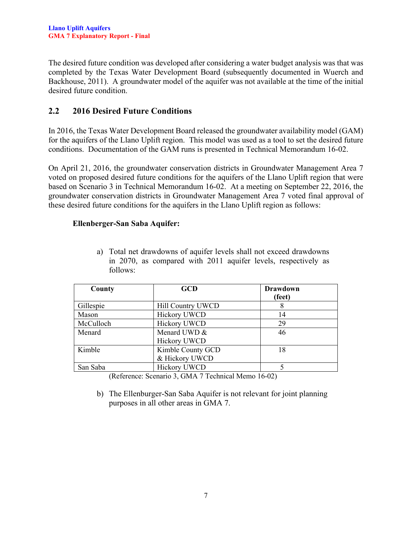The desired future condition was developed after considering a water budget analysis was that was completed by the Texas Water Development Board (subsequently documented in Wuerch and Backhouse, 2011). A groundwater model of the aquifer was not available at the time of the initial desired future condition.

### <span id="page-7-0"></span>**2.2 2016 Desired Future Conditions**

In 2016, the Texas Water Development Board released the groundwater availability model (GAM) for the aquifers of the Llano Uplift region. This model was used as a tool to set the desired future conditions. Documentation of the GAM runs is presented in Technical Memorandum 16-02.

On April 21, 2016, the groundwater conservation districts in Groundwater Management Area 7 voted on proposed desired future conditions for the aquifers of the Llano Uplift region that were based on Scenario 3 in Technical Memorandum 16-02. At a meeting on September 22, 2016, the groundwater conservation districts in Groundwater Management Area 7 voted final approval of these desired future conditions for the aquifers in the Llano Uplift region as follows:

#### **Ellenberger-San Saba Aquifer:**

a) Total net drawdowns of aquifer levels shall not exceed drawdowns in 2070, as compared with 2011 aquifer levels, respectively as follows:

| County    | <b>GCD</b>          | <b>Drawdown</b> |
|-----------|---------------------|-----------------|
|           |                     | (feet)          |
| Gillespie | Hill Country UWCD   |                 |
| Mason     | <b>Hickory UWCD</b> | 14              |
| McCulloch | <b>Hickory UWCD</b> | 29              |
| Menard    | Menard UWD &        | 46              |
|           | <b>Hickory UWCD</b> |                 |
| Kimble    | Kimble County GCD   | 18              |
|           | & Hickory UWCD      |                 |
| San Saba  | <b>Hickory UWCD</b> |                 |

(Reference: Scenario 3, GMA 7 Technical Memo 16-02)

b) The Ellenburger-San Saba Aquifer is not relevant for joint planning purposes in all other areas in GMA 7.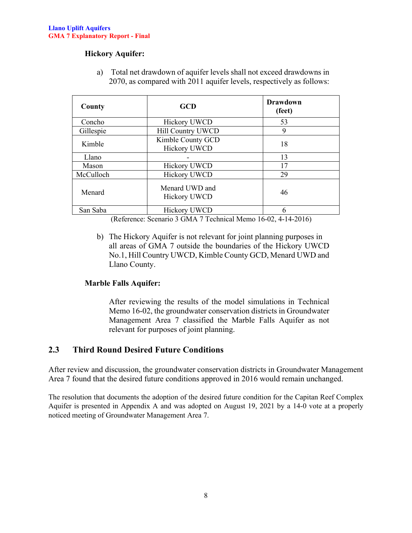#### **Hickory Aquifer:**

a) Total net drawdown of aquifer levels shall not exceed drawdowns in 2070, as compared with 2011 aquifer levels, respectively as follows:

| County    | <b>GCD</b>                               | <b>Drawdown</b><br>(feet) |
|-----------|------------------------------------------|---------------------------|
| Concho    | <b>Hickory UWCD</b>                      | 53                        |
| Gillespie | Hill Country UWCD                        | 9                         |
| Kimble    | Kimble County GCD<br><b>Hickory UWCD</b> | 18                        |
| Llano     |                                          | 13                        |
| Mason     | Hickory UWCD                             | 17                        |
| McCulloch | <b>Hickory UWCD</b>                      | 29                        |
| Menard    | Menard UWD and<br><b>Hickory UWCD</b>    | 46                        |
| San Saba  | <b>Hickory UWCD</b>                      |                           |

(Reference: Scenario 3 GMA 7 Technical Memo 16-02, 4-14-2016)

b) The Hickory Aquifer is not relevant for joint planning purposes in all areas of GMA 7 outside the boundaries of the Hickory UWCD No.1, Hill Country UWCD, Kimble County GCD, Menard UWD and Llano County.

#### **Marble Falls Aquifer:**

After reviewing the results of the model simulations in Technical Memo 16-02, the groundwater conservation districts in Groundwater Management Area 7 classified the Marble Falls Aquifer as not relevant for purposes of joint planning.

#### <span id="page-8-0"></span>**2.3 Third Round Desired Future Conditions**

After review and discussion, the groundwater conservation districts in Groundwater Management Area 7 found that the desired future conditions approved in 2016 would remain unchanged.

The resolution that documents the adoption of the desired future condition for the Capitan Reef Complex Aquifer is presented in Appendix A and was adopted on August 19, 2021 by a 14-0 vote at a properly noticed meeting of Groundwater Management Area 7.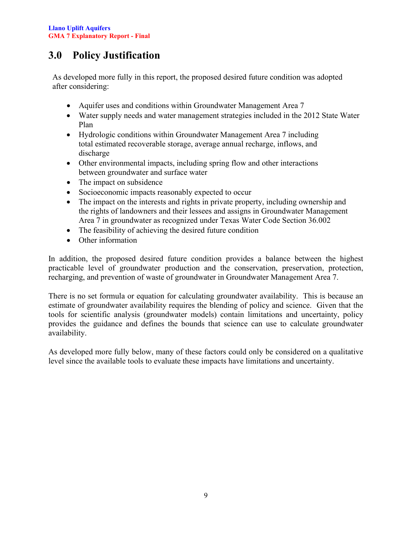# <span id="page-9-0"></span>**3.0 Policy Justification**

As developed more fully in this report, the proposed desired future condition was adopted after considering:

- Aquifer uses and conditions within Groundwater Management Area 7
- Water supply needs and water management strategies included in the 2012 State Water Plan
- Hydrologic conditions within Groundwater Management Area 7 including total estimated recoverable storage, average annual recharge, inflows, and discharge
- Other environmental impacts, including spring flow and other interactions between groundwater and surface water
- The impact on subsidence
- Socioeconomic impacts reasonably expected to occur
- The impact on the interests and rights in private property, including ownership and the rights of landowners and their lessees and assigns in Groundwater Management Area 7 in groundwater as recognized under Texas Water Code Section 36.002
- The feasibility of achieving the desired future condition
- Other information

In addition, the proposed desired future condition provides a balance between the highest practicable level of groundwater production and the conservation, preservation, protection, recharging, and prevention of waste of groundwater in Groundwater Management Area 7.

There is no set formula or equation for calculating groundwater availability. This is because an estimate of groundwater availability requires the blending of policy and science. Given that the tools for scientific analysis (groundwater models) contain limitations and uncertainty, policy provides the guidance and defines the bounds that science can use to calculate groundwater availability.

As developed more fully below, many of these factors could only be considered on a qualitative level since the available tools to evaluate these impacts have limitations and uncertainty.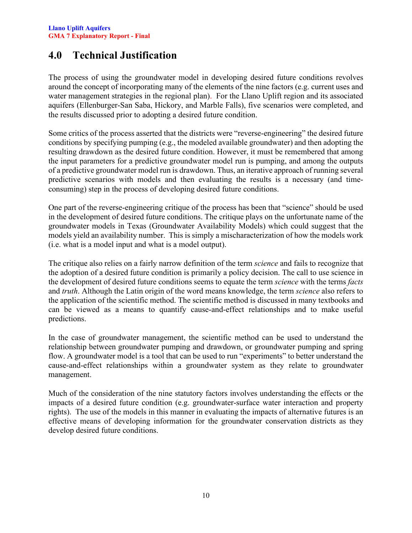## <span id="page-10-0"></span>**4.0 Technical Justification**

The process of using the groundwater model in developing desired future conditions revolves around the concept of incorporating many of the elements of the nine factors (e.g. current uses and water management strategies in the regional plan). For the Llano Uplift region and its associated aquifers (Ellenburger-San Saba, Hickory, and Marble Falls), five scenarios were completed, and the results discussed prior to adopting a desired future condition.

Some critics of the process asserted that the districts were "reverse-engineering" the desired future conditions by specifying pumping (e.g., the modeled available groundwater) and then adopting the resulting drawdown as the desired future condition. However, it must be remembered that among the input parameters for a predictive groundwater model run is pumping, and among the outputs of a predictive groundwater model run is drawdown. Thus, an iterative approach of running several predictive scenarios with models and then evaluating the results is a necessary (and timeconsuming) step in the process of developing desired future conditions.

One part of the reverse-engineering critique of the process has been that "science" should be used in the development of desired future conditions. The critique plays on the unfortunate name of the groundwater models in Texas (Groundwater Availability Models) which could suggest that the models yield an availability number. This is simply a mischaracterization of how the models work (i.e. what is a model input and what is a model output).

The critique also relies on a fairly narrow definition of the term *science* and fails to recognize that the adoption of a desired future condition is primarily a policy decision. The call to use science in the development of desired future conditions seems to equate the term *science* with the terms *facts* and *truth*. Although the Latin origin of the word means knowledge, the term *science* also refers to the application of the scientific method. The scientific method is discussed in many textbooks and can be viewed as a means to quantify cause-and-effect relationships and to make useful predictions.

In the case of groundwater management, the scientific method can be used to understand the relationship between groundwater pumping and drawdown, or groundwater pumping and spring flow. A groundwater model is a tool that can be used to run "experiments" to better understand the cause-and-effect relationships within a groundwater system as they relate to groundwater management.

Much of the consideration of the nine statutory factors involves understanding the effects or the impacts of a desired future condition (e.g. groundwater-surface water interaction and property rights). The use of the models in this manner in evaluating the impacts of alternative futures is an effective means of developing information for the groundwater conservation districts as they develop desired future conditions.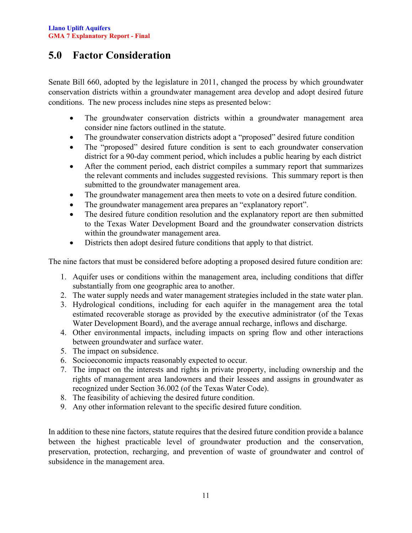# <span id="page-11-0"></span>**5.0 Factor Consideration**

Senate Bill 660, adopted by the legislature in 2011, changed the process by which groundwater conservation districts within a groundwater management area develop and adopt desired future conditions. The new process includes nine steps as presented below:

- The groundwater conservation districts within a groundwater management area consider nine factors outlined in the statute.
- The groundwater conservation districts adopt a "proposed" desired future condition
- The "proposed" desired future condition is sent to each groundwater conservation district for a 90-day comment period, which includes a public hearing by each district
- After the comment period, each district compiles a summary report that summarizes the relevant comments and includes suggested revisions. This summary report is then submitted to the groundwater management area.
- The groundwater management area then meets to vote on a desired future condition.
- The groundwater management area prepares an "explanatory report".
- The desired future condition resolution and the explanatory report are then submitted to the Texas Water Development Board and the groundwater conservation districts within the groundwater management area.
- Districts then adopt desired future conditions that apply to that district.

The nine factors that must be considered before adopting a proposed desired future condition are:

- 1. Aquifer uses or conditions within the management area, including conditions that differ substantially from one geographic area to another.
- 2. The water supply needs and water management strategies included in the state water plan.
- 3. Hydrological conditions, including for each aquifer in the management area the total estimated recoverable storage as provided by the executive administrator (of the Texas Water Development Board), and the average annual recharge, inflows and discharge.
- 4. Other environmental impacts, including impacts on spring flow and other interactions between groundwater and surface water.
- 5. The impact on subsidence.
- 6. Socioeconomic impacts reasonably expected to occur.
- 7. The impact on the interests and rights in private property, including ownership and the rights of management area landowners and their lessees and assigns in groundwater as recognized under Section 36.002 (of the Texas Water Code).
- 8. The feasibility of achieving the desired future condition.
- 9. Any other information relevant to the specific desired future condition.

In addition to these nine factors, statute requires that the desired future condition provide a balance between the highest practicable level of groundwater production and the conservation, preservation, protection, recharging, and prevention of waste of groundwater and control of subsidence in the management area.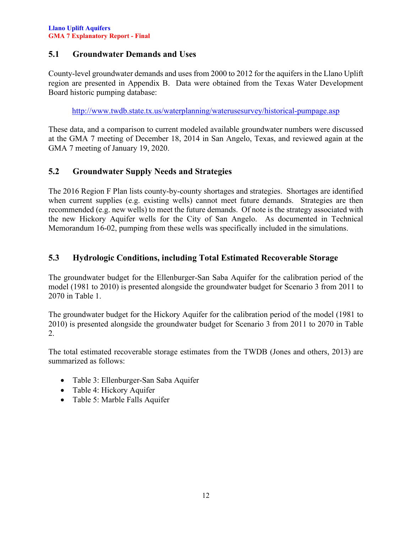### <span id="page-12-0"></span>**5.1 Groundwater Demands and Uses**

County-level groundwater demands and uses from 2000 to 2012 for the aquifers in the Llano Uplift region are presented in Appendix B. Data were obtained from the Texas Water Development Board historic pumping database:

<http://www.twdb.state.tx.us/waterplanning/waterusesurvey/historical-pumpage.asp>

These data, and a comparison to current modeled available groundwater numbers were discussed at the GMA 7 meeting of December 18, 2014 in San Angelo, Texas, and reviewed again at the GMA 7 meeting of January 19, 2020.

### <span id="page-12-1"></span>**5.2 Groundwater Supply Needs and Strategies**

The 2016 Region F Plan lists county-by-county shortages and strategies. Shortages are identified when current supplies (e.g. existing wells) cannot meet future demands. Strategies are then recommended (e.g. new wells) to meet the future demands. Of note is the strategy associated with the new Hickory Aquifer wells for the City of San Angelo. As documented in Technical Memorandum 16-02, pumping from these wells was specifically included in the simulations.

### <span id="page-12-2"></span>**5.3 Hydrologic Conditions, including Total Estimated Recoverable Storage**

The groundwater budget for the Ellenburger-San Saba Aquifer for the calibration period of the model (1981 to 2010) is presented alongside the groundwater budget for Scenario 3 from 2011 to 2070 in Table 1.

The groundwater budget for the Hickory Aquifer for the calibration period of the model (1981 to 2010) is presented alongside the groundwater budget for Scenario 3 from 2011 to 2070 in Table 2.

The total estimated recoverable storage estimates from the TWDB (Jones and others, 2013) are summarized as follows:

- Table 3: Ellenburger-San Saba Aquifer
- Table 4: Hickory Aquifer
- Table 5: Marble Falls Aquifer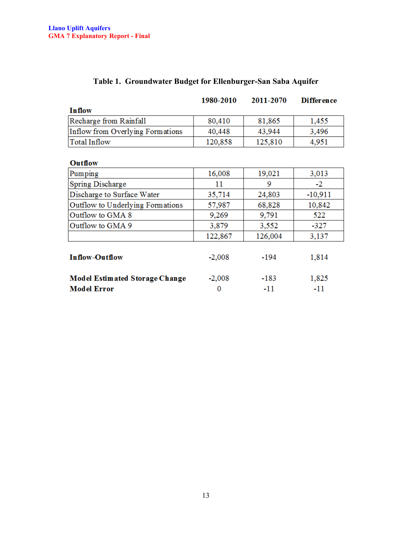<span id="page-13-0"></span>

|                                       | 1980-2010 | 2011-2070 | <b>Difference</b> |
|---------------------------------------|-----------|-----------|-------------------|
| <b>Inflow</b>                         |           |           |                   |
| Recharge from Rainfall                | 80,410    | 81,865    | 1,455             |
| Inflow from Overlying Formations      | 40,448    | 43,944    | 3,496             |
| <b>Total Inflow</b>                   | 120,858   | 125,810   | 4,951             |
|                                       |           |           |                   |
| Outflow                               |           |           |                   |
| Pumping                               | 16,008    | 19,021    | 3,013             |
| Spring Discharge                      | 11        | 9         | $-2$              |
| Discharge to Surface Water            | 35,714    | 24,803    | $-10,911$         |
| Outflow to Underlying Formations      | 57,987    | 68,828    | 10,842            |
| Outflow to GMA 8                      | 9,269     | 9,791     | 522               |
| Outflow to GMA 9                      | 3,879     | 3,552     | $-327$            |
|                                       | 122,867   | 126,004   | 3,137             |
| <b>Inflow-Outflow</b>                 | $-2,008$  | -194      | 1,814             |
| <b>Model Estimated Storage Change</b> | $-2,008$  | $-183$    | 1,825             |
| <b>Model Error</b>                    | 0         | $-11$     | -11               |

### **Table 1. Groundwater Budget for Ellenburger-San Saba Aquifer**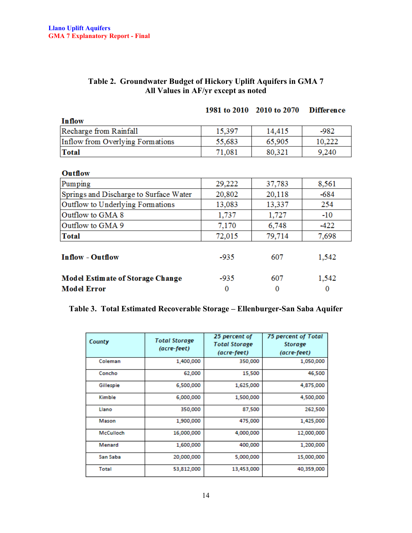| Table 2. Groundwater Budget of Hickory Uplift Aquifers in GMA 7 |
|-----------------------------------------------------------------|
| All Values in AF/yr except as noted                             |

<span id="page-14-0"></span>

|                                         |        | 1981 to 2010 2010 to 2070 | <b>Difference</b> |
|-----------------------------------------|--------|---------------------------|-------------------|
| <b>Inflow</b>                           |        |                           |                   |
| Recharge from Rainfall                  | 15,397 | 14,415                    | -982              |
| Inflow from Overlying Formations        | 55,683 | 65,905                    | 10,222            |
| <b>Total</b>                            | 71,081 | 80,321                    | 9,240             |
|                                         |        |                           |                   |
| <b>Outflow</b>                          |        |                           |                   |
| Pumping                                 | 29,222 | 37,783                    | 8,561             |
| Springs and Discharge to Surface Water  | 20,802 | 20,118                    | $-684$            |
| Outflow to Underlying Formations        | 13,083 | 13,337                    | 254               |
| Outflow to GMA 8                        | 1,737  | 1,727                     | $-10$             |
| Outflow to GMA 9                        | 7,170  | 6,748                     | $-422$            |
| <b>Total</b>                            | 72,015 | 79,714                    | 7,698             |
| <b>Inflow - Outflow</b>                 | $-935$ | 607                       | 1,542             |
| <b>Model Estimate of Storage Change</b> | -935   | 607                       | 1,542             |
| <b>Model Error</b>                      | 0      | 0                         | $\bf{0}$          |

### <span id="page-14-1"></span>**Table 3. Total Estimated Recoverable Storage – Ellenburger-San Saba Aquifer**

| County       | <b>Total Storage</b><br>(acre-feet) | 25 percent of<br><b>Total Storage</b><br>(acre-feet) | 75 percent of Total<br>Storage<br>(acre-feet) |
|--------------|-------------------------------------|------------------------------------------------------|-----------------------------------------------|
| Coleman      | 1,400,000                           | 350,000                                              | 1,050,000                                     |
| Concho       | 62,000                              | 15,500                                               | 46,500                                        |
| Gillespie    | 6,500,000                           | 1,625,000                                            | 4,875,000                                     |
| Kimble       | 6,000,000                           | 1,500,000                                            | 4,500,000                                     |
| Llano        | 350,000                             | 87,500                                               | 262,500                                       |
| Mason        | 1,900,000                           | 475,000                                              | 1,425,000                                     |
| McCulloch    | 16,000,000                          | 4,000,000                                            | 12,000,000                                    |
| Menard       | 1,600,000                           | 400,000                                              | 1,200,000                                     |
| San Saba     | 20,000,000                          | 5,000,000                                            | 15,000,000                                    |
| <b>Total</b> | 53,812,000                          | 13,453,000                                           | 40,359,000                                    |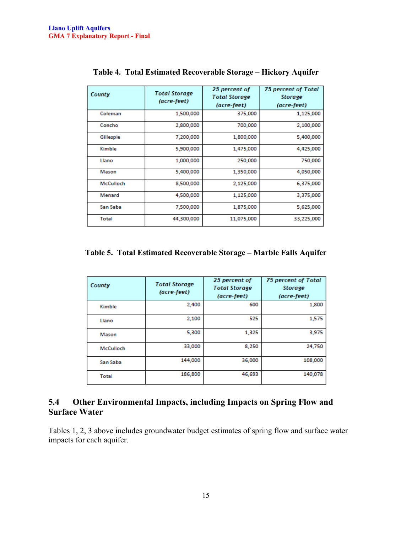<span id="page-15-1"></span>

| County       | <b>Total Storage</b><br>(acre-feet) | 25 percent of<br><b>Total Storage</b><br>(acre-feet) | 75 percent of Total<br>Storage<br>(acre-feet) |
|--------------|-------------------------------------|------------------------------------------------------|-----------------------------------------------|
| Coleman      | 1,500,000                           | 375,000                                              | 1,125,000                                     |
| Concho       | 2,800,000                           | 700,000                                              | 2,100,000                                     |
| Gillespie    | 7,200,000                           | 1,800,000                                            | 5,400,000                                     |
| Kimble       | 5,900,000                           | 1,475,000                                            | 4,425,000                                     |
| Llano        | 1,000,000                           | 250,000                                              | 750,000                                       |
| Mason        | 5,400,000                           | 1,350,000                                            | 4,050,000                                     |
| McCulloch    | 8,500,000                           | 2,125,000                                            | 6,375,000                                     |
| Menard       | 4,500,000                           | 1,125,000                                            | 3,375,000                                     |
| San Saba     | 7,500,000                           | 1,875,000                                            | 5,625,000                                     |
| <b>Total</b> | 44,300,000                          | 11,075,000                                           | 33,225,000                                    |

**Table 4. Total Estimated Recoverable Storage – Hickory Aquifer**

<span id="page-15-2"></span>**Table 5. Total Estimated Recoverable Storage – Marble Falls Aquifer**

| County           | <b>Total Storage</b><br>(acre-feet) | 25 percent of<br><b>Total Storage</b><br>(acre-feet) | 75 percent of Total<br><b>Storage</b><br>(acre-feet) |
|------------------|-------------------------------------|------------------------------------------------------|------------------------------------------------------|
| Kimble           | 2,400                               | 600                                                  | 1,800                                                |
| Llano            | 2,100                               | 525                                                  | 1,575                                                |
| Mason            | 5,300                               | 1,325                                                | 3,975                                                |
| <b>McCulloch</b> | 33,000                              | 8,250                                                | 24,750                                               |
| San Saba         | 144,000                             | 36,000                                               | 108,000                                              |
| <b>Total</b>     | 186,800                             | 46,693                                               | 140,078                                              |

### <span id="page-15-0"></span>**5.4 Other Environmental Impacts, including Impacts on Spring Flow and Surface Water**

Tables 1, 2, 3 above includes groundwater budget estimates of spring flow and surface water impacts for each aquifer.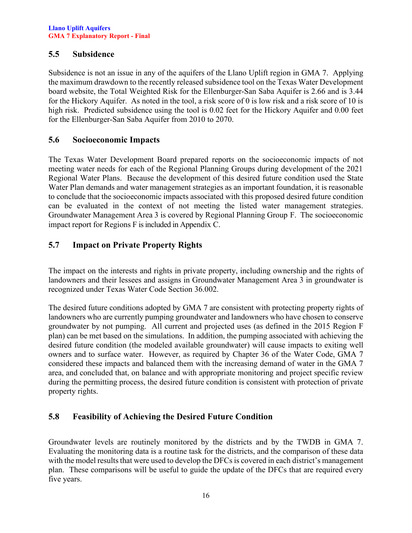#### <span id="page-16-0"></span>**5.5 Subsidence**

Subsidence is not an issue in any of the aquifers of the Llano Uplift region in GMA 7. Applying the maximum drawdown to the recently released subsidence tool on the Texas Water Development board website, the Total Weighted Risk for the Ellenburger-San Saba Aquifer is 2.66 and is 3.44 for the Hickory Aquifer. As noted in the tool, a risk score of 0 is low risk and a risk score of 10 is high risk. Predicted subsidence using the tool is 0.02 feet for the Hickory Aquifer and 0.00 feet for the Ellenburger-San Saba Aquifer from 2010 to 2070.

#### <span id="page-16-1"></span>**5.6 Socioeconomic Impacts**

The Texas Water Development Board prepared reports on the socioeconomic impacts of not meeting water needs for each of the Regional Planning Groups during development of the 2021 Regional Water Plans. Because the development of this desired future condition used the State Water Plan demands and water management strategies as an important foundation, it is reasonable to conclude that the socioeconomic impacts associated with this proposed desired future condition can be evaluated in the context of not meeting the listed water management strategies. Groundwater Management Area 3 is covered by Regional Planning Group F. The socioeconomic impact report for Regions F is included in Appendix C.

### <span id="page-16-2"></span>**5.7 Impact on Private Property Rights**

The impact on the interests and rights in private property, including ownership and the rights of landowners and their lessees and assigns in Groundwater Management Area 3 in groundwater is recognized under Texas Water Code Section 36.002.

The desired future conditions adopted by GMA 7 are consistent with protecting property rights of landowners who are currently pumping groundwater and landowners who have chosen to conserve groundwater by not pumping. All current and projected uses (as defined in the 2015 Region F plan) can be met based on the simulations. In addition, the pumping associated with achieving the desired future condition (the modeled available groundwater) will cause impacts to exiting well owners and to surface water. However, as required by Chapter 36 of the Water Code, GMA 7 considered these impacts and balanced them with the increasing demand of water in the GMA 7 area, and concluded that, on balance and with appropriate monitoring and project specific review during the permitting process, the desired future condition is consistent with protection of private property rights.

### <span id="page-16-3"></span>**5.8 Feasibility of Achieving the Desired Future Condition**

Groundwater levels are routinely monitored by the districts and by the TWDB in GMA 7. Evaluating the monitoring data is a routine task for the districts, and the comparison of these data with the model results that were used to develop the DFCs is covered in each district's management plan. These comparisons will be useful to guide the update of the DFCs that are required every five years.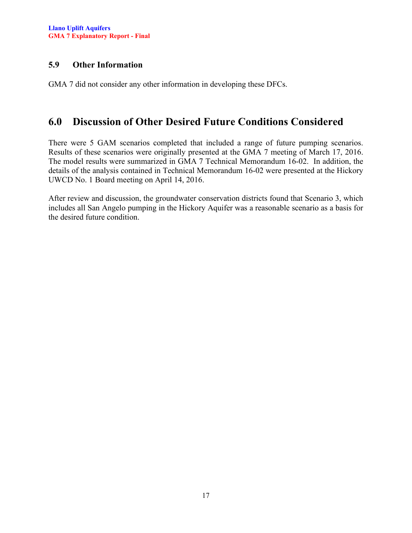### <span id="page-17-0"></span>**5.9 Other Information**

GMA 7 did not consider any other information in developing these DFCs.

### <span id="page-17-1"></span>**6.0 Discussion of Other Desired Future Conditions Considered**

There were 5 GAM scenarios completed that included a range of future pumping scenarios. Results of these scenarios were originally presented at the GMA 7 meeting of March 17, 2016. The model results were summarized in GMA 7 Technical Memorandum 16-02. In addition, the details of the analysis contained in Technical Memorandum 16-02 were presented at the Hickory UWCD No. 1 Board meeting on April 14, 2016.

After review and discussion, the groundwater conservation districts found that Scenario 3, which includes all San Angelo pumping in the Hickory Aquifer was a reasonable scenario as a basis for the desired future condition.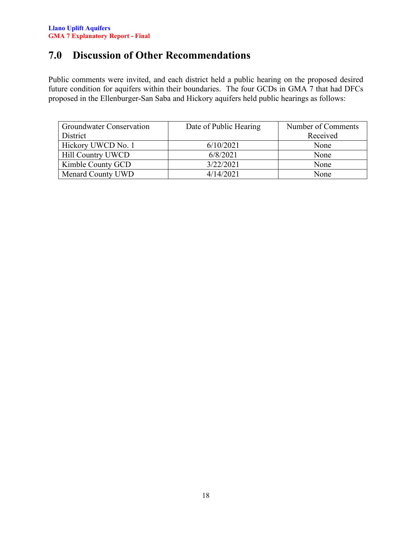# <span id="page-18-0"></span>**7.0 Discussion of Other Recommendations**

Public comments were invited, and each district held a public hearing on the proposed desired future condition for aquifers within their boundaries. The four GCDs in GMA 7 that had DFCs proposed in the Ellenburger-San Saba and Hickory aquifers held public hearings as follows:

| <b>Groundwater Conservation</b> | Date of Public Hearing | Number of Comments |
|---------------------------------|------------------------|--------------------|
| District                        |                        | Received           |
| Hickory UWCD No. 1              | 6/10/2021              | None               |
| Hill Country UWCD               | 6/8/2021               | None               |
| Kimble County GCD               | 3/22/2021              | None               |
| Menard County UWD               | 4/14/2021              | None               |